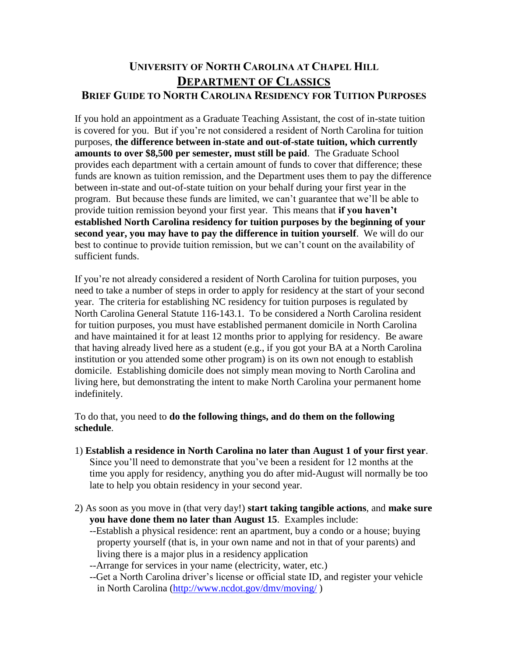## **UNIVERSITY OF NORTH CAROLINA AT CHAPEL HILL DEPARTMENT OF CLASSICS BRIEF GUIDE TO NORTH CAROLINA RESIDENCY FOR TUITION PURPOSES**

If you hold an appointment as a Graduate Teaching Assistant, the cost of in-state tuition is covered for you. But if you're not considered a resident of North Carolina for tuition purposes, **the difference between in-state and out-of-state tuition, which currently amounts to over \$8,500 per semester, must still be paid**. The Graduate School provides each department with a certain amount of funds to cover that difference; these funds are known as tuition remission, and the Department uses them to pay the difference between in-state and out-of-state tuition on your behalf during your first year in the program. But because these funds are limited, we can't guarantee that we'll be able to provide tuition remission beyond your first year. This means that **if you haven't established North Carolina residency for tuition purposes by the beginning of your second year, you may have to pay the difference in tuition yourself**. We will do our best to continue to provide tuition remission, but we can't count on the availability of sufficient funds.

If you're not already considered a resident of North Carolina for tuition purposes, you need to take a number of steps in order to apply for residency at the start of your second year. The criteria for establishing NC residency for tuition purposes is regulated by North Carolina General Statute 116-143.1. To be considered a North Carolina resident for tuition purposes, you must have established permanent domicile in North Carolina and have maintained it for at least 12 months prior to applying for residency. Be aware that having already lived here as a student (e.g., if you got your BA at a North Carolina institution or you attended some other program) is on its own not enough to establish domicile. Establishing domicile does not simply mean moving to North Carolina and living here, but demonstrating the intent to make North Carolina your permanent home indefinitely.

To do that, you need to **do the following things, and do them on the following schedule**.

- 1) **Establish a residence in North Carolina no later than August 1 of your first year**. Since you'll need to demonstrate that you've been a resident for 12 months at the time you apply for residency, anything you do after mid-August will normally be too late to help you obtain residency in your second year.
- 2) As soon as you move in (that very day!) **start taking tangible actions**, and **make sure you have done them no later than August 15**. Examples include:
	- --Establish a physical residence: rent an apartment, buy a condo or a house; buying property yourself (that is, in your own name and not in that of your parents) and living there is a major plus in a residency application
	- --Arrange for services in your name (electricity, water, etc.)
	- --Get a North Carolina driver's license or official state ID, and register your vehicle in North Carolina [\(http://www.ncdot.gov/dmv/moving/](http://www.ncdot.gov/dmv/moving/) )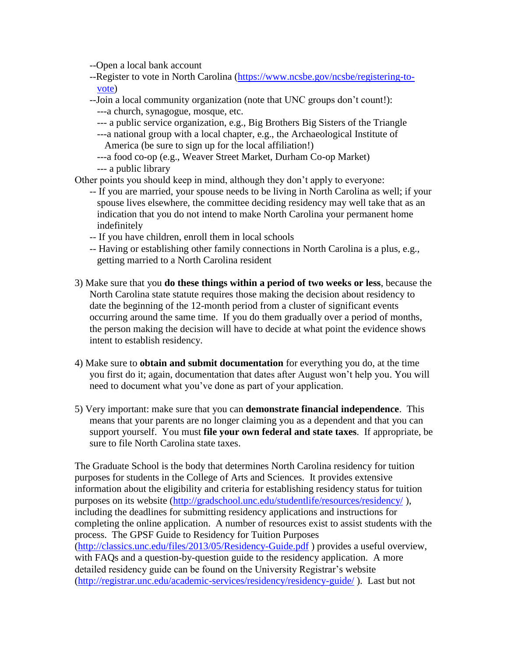--Open a local bank account

- --Register to vote in North Carolina [\(https://www.ncsbe.gov/ncsbe/registering-to](https://www.ncsbe.gov/ncsbe/registering-to-vote)[vote\)](https://www.ncsbe.gov/ncsbe/registering-to-vote)
- --Join a local community organization (note that UNC groups don't count!):
	- ---a church, synagogue, mosque, etc.
	- --- a public service organization, e.g., Big Brothers Big Sisters of the Triangle
	- ---a national group with a local chapter, e.g., the Archaeological Institute of America (be sure to sign up for the local affiliation!)
	- ---a food co-op (e.g., Weaver Street Market, Durham Co-op Market) --- a public library

Other points you should keep in mind, although they don't apply to everyone:

- -- If you are married, your spouse needs to be living in North Carolina as well; if your spouse lives elsewhere, the committee deciding residency may well take that as an indication that you do not intend to make North Carolina your permanent home indefinitely
- -- If you have children, enroll them in local schools
- -- Having or establishing other family connections in North Carolina is a plus, e.g., getting married to a North Carolina resident
- 3) Make sure that you **do these things within a period of two weeks or less**, because the North Carolina state statute requires those making the decision about residency to date the beginning of the 12-month period from a cluster of significant events occurring around the same time. If you do them gradually over a period of months, the person making the decision will have to decide at what point the evidence shows intent to establish residency.
- 4) Make sure to **obtain and submit documentation** for everything you do, at the time you first do it; again, documentation that dates after August won't help you. You will need to document what you've done as part of your application.
- 5) Very important: make sure that you can **demonstrate financial independence**. This means that your parents are no longer claiming you as a dependent and that you can support yourself. You must **file your own federal and state taxes**. If appropriate, be sure to file North Carolina state taxes.

The Graduate School is the body that determines North Carolina residency for tuition purposes for students in the College of Arts and Sciences. It provides extensive information about the eligibility and criteria for establishing residency status for tuition purposes on its website [\(http://gradschool.unc.edu/studentlife/resources/residency/](http://gradschool.unc.edu/studentlife/resources/residency/) ), including the deadlines for submitting residency applications and instructions for completing the online application. A number of resources exist to assist students with the process. The GPSF Guide to Residency for Tuition Purposes [\(http://classics.unc.edu/files/2013/05/Residency-Guide.pdf](http://classics.unc.edu/files/2013/05/Residency-Guide.pdf) ) provides a useful overview, with FAQs and a question-by-question guide to the residency application. A more detailed residency guide can be found on the University Registrar's website [\(http://registrar.unc.edu/academic-services/residency/residency-guide/](http://registrar.unc.edu/academic-services/residency/residency-guide/) ). Last but not